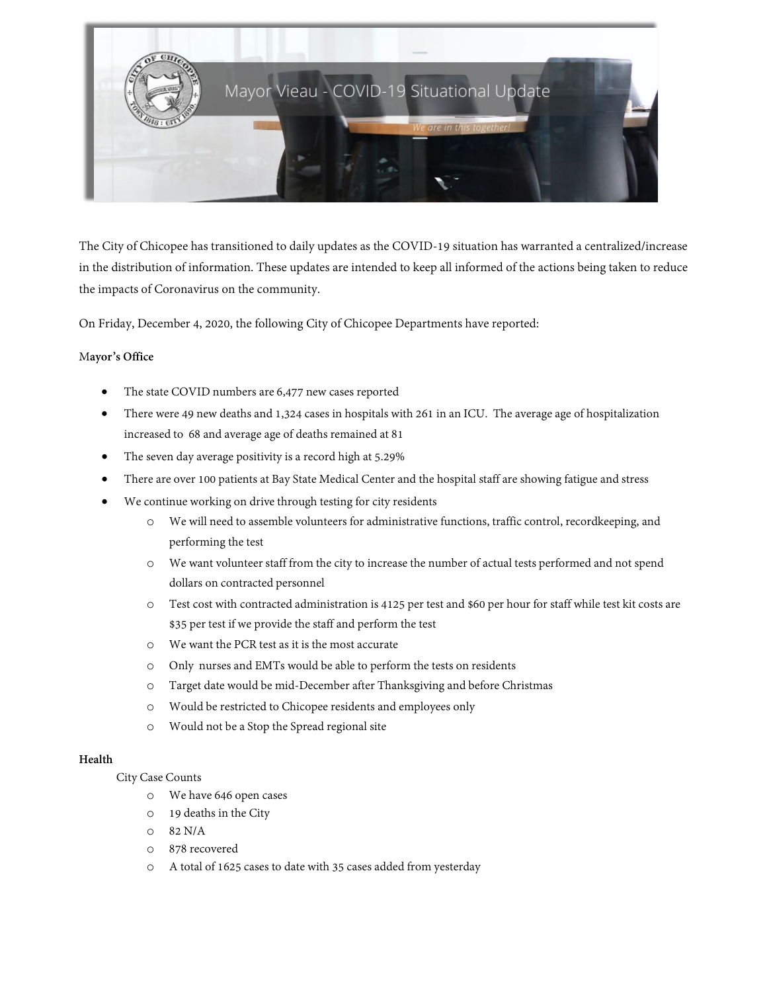

The City of Chicopee has transitioned to daily updates as the COVID-19 situation has warranted a centralized/increase in the distribution of information. These updates are intended to keep all informed of the actions being taken to reduce the impacts of Coronavirus on the community.

On Friday, December 4, 2020, the following City of Chicopee Departments have reported:

### M**ayor's Office**

- The state COVID numbers are 6,477 new cases reported
- There were 49 new deaths and 1,324 cases in hospitals with 261 in an ICU. The average age of hospitalization increased to 68 and average age of deaths remained at 81
- The seven day average positivity is a record high at 5.29%
- There are over 100 patients at Bay State Medical Center and the hospital staff are showing fatigue and stress
- We continue working on drive through testing for city residents
	- o We will need to assemble volunteers for administrative functions, traffic control, recordkeeping, and performing the test
	- o We want volunteer staff from the city to increase the number of actual tests performed and not spend dollars on contracted personnel
	- o Test cost with contracted administration is 4125 per test and \$60 per hour for staff while test kit costs are \$35 per test if we provide the staff and perform the test
	- o We want the PCR test as it is the most accurate
	- o Only nurses and EMTs would be able to perform the tests on residents
	- o Target date would be mid-December after Thanksgiving and before Christmas
	- o Would be restricted to Chicopee residents and employees only
	- o Would not be a Stop the Spread regional site

### **Health**

City Case Counts

- o We have 646 open cases
- o 19 deaths in the City
- o 82 N/A
- o 878 recovered
- o A total of 1625 cases to date with 35 cases added from yesterday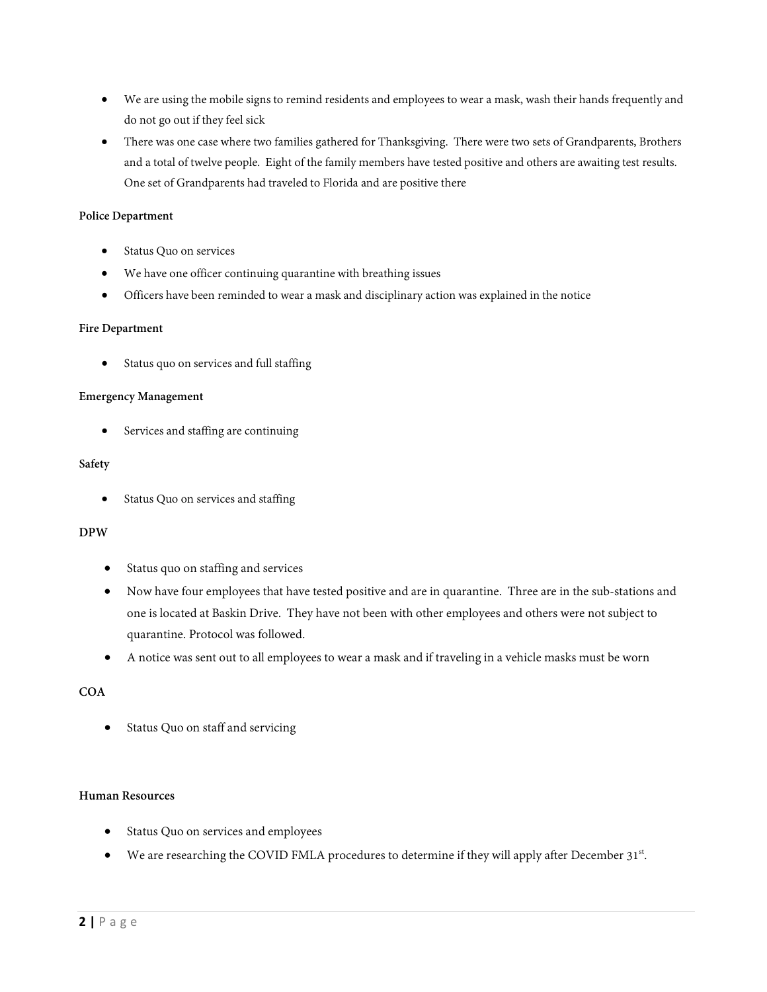- We are using the mobile signs to remind residents and employees to wear a mask, wash their hands frequently and do not go out if they feel sick
- There was one case where two families gathered for Thanksgiving. There were two sets of Grandparents, Brothers and a total of twelve people. Eight of the family members have tested positive and others are awaiting test results. One set of Grandparents had traveled to Florida and are positive there

### **Police Department**

- Status Quo on services
- We have one officer continuing quarantine with breathing issues
- Officers have been reminded to wear a mask and disciplinary action was explained in the notice

### **Fire Department**

• Status quo on services and full staffing

### **Emergency Management**

• Services and staffing are continuing

# **Safety**

• Status Quo on services and staffing

### **DPW**

- Status quo on staffing and services
- Now have four employees that have tested positive and are in quarantine. Three are in the sub-stations and one is located at Baskin Drive. They have not been with other employees and others were not subject to quarantine. Protocol was followed.
- A notice was sent out to all employees to wear a mask and if traveling in a vehicle masks must be worn

### **COA**

• Status Quo on staff and servicing

### **Human Resources**

- Status Quo on services and employees
- We are researching the COVID FMLA procedures to determine if they will apply after December 31st.